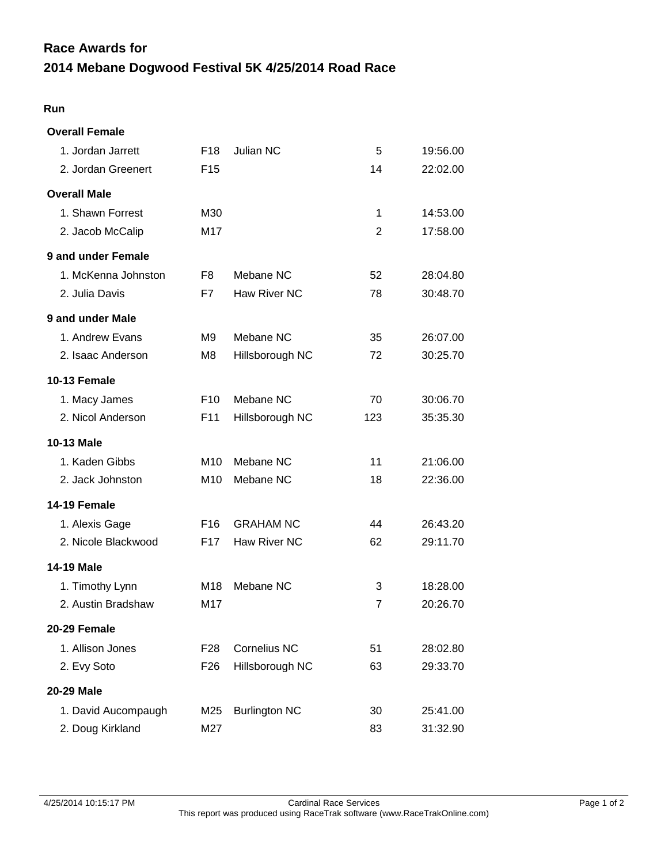## **2014 Mebane Dogwood Festival 5K 4/25/2014 Road Race Race Awards for**

## **Run**

| <b>Overall Female</b> |                 |                      |     |          |
|-----------------------|-----------------|----------------------|-----|----------|
| 1. Jordan Jarrett     | F <sub>18</sub> | Julian NC            | 5   | 19:56.00 |
| 2. Jordan Greenert    | F <sub>15</sub> |                      | 14  | 22:02.00 |
| <b>Overall Male</b>   |                 |                      |     |          |
| 1. Shawn Forrest      | M30             |                      | 1   | 14:53.00 |
| 2. Jacob McCalip      | M17             |                      | 2   | 17:58.00 |
| 9 and under Female    |                 |                      |     |          |
| 1. McKenna Johnston   | F8              | Mebane NC            | 52  | 28:04.80 |
| 2. Julia Davis        | F7              | <b>Haw River NC</b>  | 78  | 30:48.70 |
| 9 and under Male      |                 |                      |     |          |
| 1. Andrew Evans       | M <sub>9</sub>  | Mebane NC            | 35  | 26:07.00 |
| 2. Isaac Anderson     | M8              | Hillsborough NC      | 72  | 30:25.70 |
| <b>10-13 Female</b>   |                 |                      |     |          |
| 1. Macy James         | F <sub>10</sub> | Mebane NC            | 70  | 30:06.70 |
| 2. Nicol Anderson     | F11             | Hillsborough NC      | 123 | 35:35.30 |
| 10-13 Male            |                 |                      |     |          |
| 1. Kaden Gibbs        | M <sub>10</sub> | Mebane NC            | 11  | 21:06.00 |
| 2. Jack Johnston      | M10             | Mebane NC            | 18  | 22:36.00 |
| <b>14-19 Female</b>   |                 |                      |     |          |
| 1. Alexis Gage        | F <sub>16</sub> | <b>GRAHAM NC</b>     | 44  | 26:43.20 |
| 2. Nicole Blackwood   | F <sub>17</sub> | Haw River NC         | 62  | 29:11.70 |
| <b>14-19 Male</b>     |                 |                      |     |          |
| 1. Timothy Lynn       | M18             | Mebane NC            | 3   | 18:28.00 |
| 2. Austin Bradshaw    | M17             |                      | 7   | 20:26.70 |
| 20-29 Female          |                 |                      |     |          |
| 1. Allison Jones      | F <sub>28</sub> | <b>Cornelius NC</b>  | 51  | 28:02.80 |
| 2. Evy Soto           | F <sub>26</sub> | Hillsborough NC      | 63  | 29:33.70 |
| 20-29 Male            |                 |                      |     |          |
| 1. David Aucompaugh   | M25             | <b>Burlington NC</b> | 30  | 25:41.00 |
| 2. Doug Kirkland      | M27             |                      | 83  | 31:32.90 |